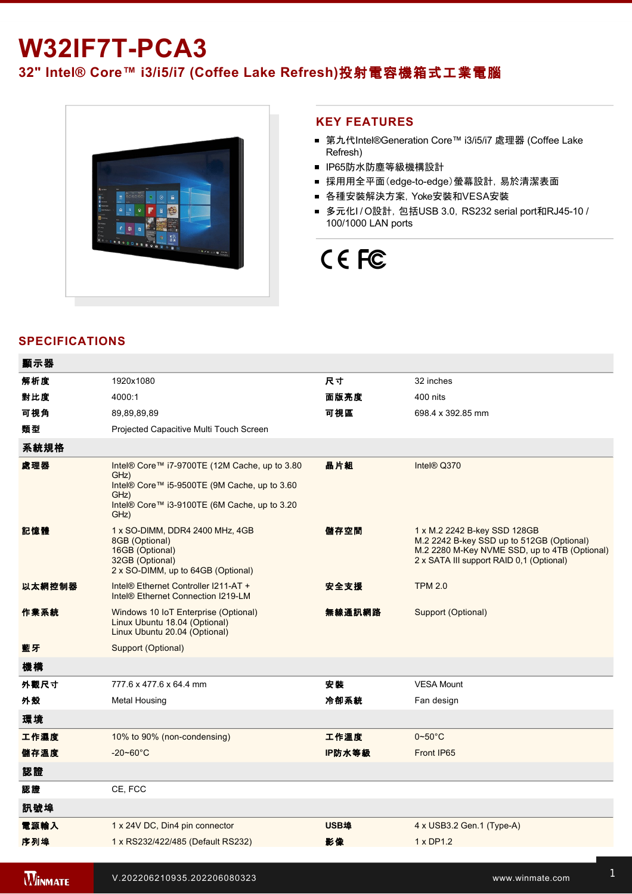# **W32IF7T-PCA3**

**32" Intel® Core™ i3/i5/i7 (Coffee Lake Refresh)**投射電容機箱式工業電腦



### **KEY FEATURES**

- 第九代Intel®Generation Core™ i3/i5/i7 處理器 (Coffee Lake Refresh)
- IP65防水防塵等級機構設計
- 採用用全平面(edge-to-edge)螢幕設計, 易於清潔表面
- 各種安裝解決方案, Yoke安裝和VESA安裝
- 多元化I/O設計, 包括USB 3.0, RS232 serial port和RJ45-10 / 100/1000 LAN ports

# CE FC

## **SPECIFICATIONS**

**WINMATE** 

| 顯示器            |                                                                                                                                                                       |             |                                                                                                                                                                        |
|----------------|-----------------------------------------------------------------------------------------------------------------------------------------------------------------------|-------------|------------------------------------------------------------------------------------------------------------------------------------------------------------------------|
| 解析度            | 1920x1080                                                                                                                                                             | 尺寸          | 32 inches                                                                                                                                                              |
| 對比度            | 4000:1                                                                                                                                                                | 面版亮度        | 400 nits                                                                                                                                                               |
| 可視角            | 89,89,89,89                                                                                                                                                           | 可視區         | 698.4 x 392.85 mm                                                                                                                                                      |
| 麵型             | Projected Capacitive Multi Touch Screen                                                                                                                               |             |                                                                                                                                                                        |
| 系統規格           |                                                                                                                                                                       |             |                                                                                                                                                                        |
| 處理器            | Intel® Core™ i7-9700TE (12M Cache, up to 3.80<br>GHz)<br>Intel® Core™ i5-9500TE (9M Cache, up to 3.60<br>GHz)<br>Intel® Core™ i3-9100TE (6M Cache, up to 3.20<br>GHz) | 晶片組         | Intel® Q370                                                                                                                                                            |
| 記憶體            | 1 x SO-DIMM, DDR4 2400 MHz, 4GB<br>8GB (Optional)<br>16GB (Optional)<br>32GB (Optional)<br>2 x SO-DIMM, up to 64GB (Optional)                                         | 儲存空間        | 1 x M.2 2242 B-key SSD 128GB<br>M.2 2242 B-key SSD up to 512GB (Optional)<br>M.2 2280 M-Key NVME SSD, up to 4TB (Optional)<br>2 x SATA III support RAID 0,1 (Optional) |
| 以太網控制器         | Intel® Ethernet Controller I211-AT +<br>Intel® Ethernet Connection I219-LM                                                                                            | 安全支援        | <b>TPM 2.0</b>                                                                                                                                                         |
| 作業系統           | Windows 10 IoT Enterprise (Optional)<br>Linux Ubuntu 18.04 (Optional)<br>Linux Ubuntu 20.04 (Optional)                                                                | 無線通訊網路      | Support (Optional)                                                                                                                                                     |
| 藍牙             | Support (Optional)                                                                                                                                                    |             |                                                                                                                                                                        |
| 機構             |                                                                                                                                                                       |             |                                                                                                                                                                        |
| 外觀尺寸           | 777.6 x 477.6 x 64.4 mm                                                                                                                                               | 安裝          | <b>VESA Mount</b>                                                                                                                                                      |
| 外殼             | <b>Metal Housing</b>                                                                                                                                                  | 冷卻系統        | Fan design                                                                                                                                                             |
| 環境             |                                                                                                                                                                       |             |                                                                                                                                                                        |
| 工作濕度           | 10% to 90% (non-condensing)                                                                                                                                           | 工作溫度        | $0 - 50^{\circ}$ C                                                                                                                                                     |
| 儲存溫度           | $-20 - 60^{\circ}C$                                                                                                                                                   | IP防水等級      | Front IP65                                                                                                                                                             |
| 認證             |                                                                                                                                                                       |             |                                                                                                                                                                        |
| 認證             | CE, FCC                                                                                                                                                               |             |                                                                                                                                                                        |
| 訊號埠            |                                                                                                                                                                       |             |                                                                                                                                                                        |
| 電源輸入           | 1 x 24V DC, Din4 pin connector                                                                                                                                        | <b>USB埠</b> | 4 x USB3.2 Gen.1 (Type-A)                                                                                                                                              |
| 序列埠            | 1 x RS232/422/485 (Default RS232)                                                                                                                                     | 影像          | 1 x DP1.2                                                                                                                                                              |
| <b>WINMATE</b> | V.202206210935.202206080323                                                                                                                                           |             | www.winmate.com                                                                                                                                                        |